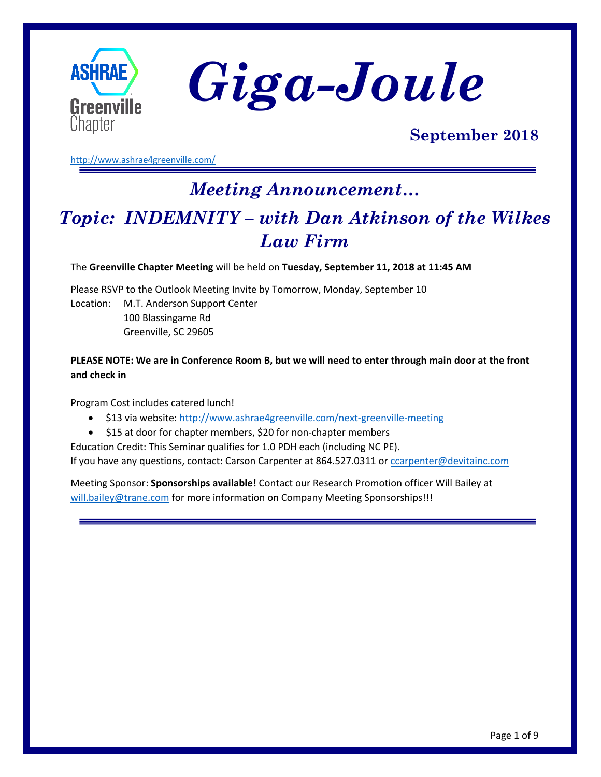



### **September 2018**

<http://www.ashrae4greenville.com/>

# *Meeting Announcement… Topic: INDEMNITY – with Dan Atkinson of the Wilkes Law Firm*

The **Greenville Chapter Meeting** will be held on **Tuesday, September 11, 2018 at 11:45 AM**

Please RSVP to the Outlook Meeting Invite by Tomorrow, Monday, September 10 Location: M.T. Anderson Support Center 100 Blassingame Rd Greenville, SC 29605

**PLEASE NOTE: We are in Conference Room B, but we will need to enter through main door at the front and check in**

Program Cost includes catered lunch!

- \$13 via website:<http://www.ashrae4greenville.com/next-greenville-meeting>
- \$15 at door for chapter members, \$20 for non-chapter members

Education Credit: This Seminar qualifies for 1.0 PDH each (including NC PE). If you have any questions, contact: Carson Carpenter at 864.527.0311 or [ccarpenter@devitainc.com](mailto:ccarpenter@devitainc.com)

Meeting Sponsor: **Sponsorships available!** Contact our Research Promotion officer Will Bailey at [will.bailey@trane.com](mailto:will.bailey@trane.com) for more information on Company Meeting Sponsorships!!!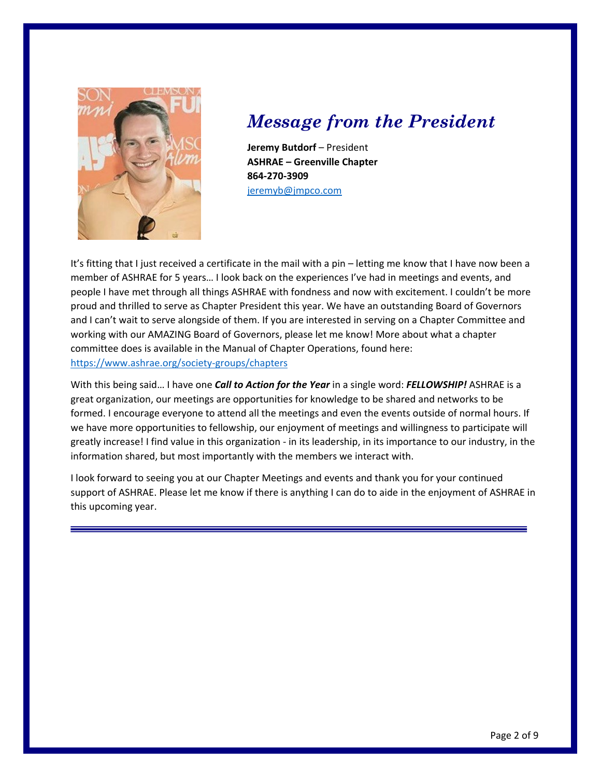

## *Message from the President*

**Jeremy Butdorf** – President **ASHRAE – Greenville Chapter 864-270-3909** [jeremyb@jmpco.com](mailto:jeremyb@jmpco.com)

It's fitting that I just received a certificate in the mail with a pin – letting me know that I have now been a member of ASHRAE for 5 years… I look back on the experiences I've had in meetings and events, and people I have met through all things ASHRAE with fondness and now with excitement. I couldn't be more proud and thrilled to serve as Chapter President this year. We have an outstanding Board of Governors and I can't wait to serve alongside of them. If you are interested in serving on a Chapter Committee and working with our AMAZING Board of Governors, please let me know! More about what a chapter committee does is available in the Manual of Chapter Operations, found here: <https://www.ashrae.org/society-groups/chapters>

With this being said… I have one *Call to Action for the Year* in a single word: *FELLOWSHIP!* ASHRAE is a great organization, our meetings are opportunities for knowledge to be shared and networks to be formed. I encourage everyone to attend all the meetings and even the events outside of normal hours. If we have more opportunities to fellowship, our enjoyment of meetings and willingness to participate will greatly increase! I find value in this organization - in its leadership, in its importance to our industry, in the information shared, but most importantly with the members we interact with.

I look forward to seeing you at our Chapter Meetings and events and thank you for your continued support of ASHRAE. Please let me know if there is anything I can do to aide in the enjoyment of ASHRAE in this upcoming year.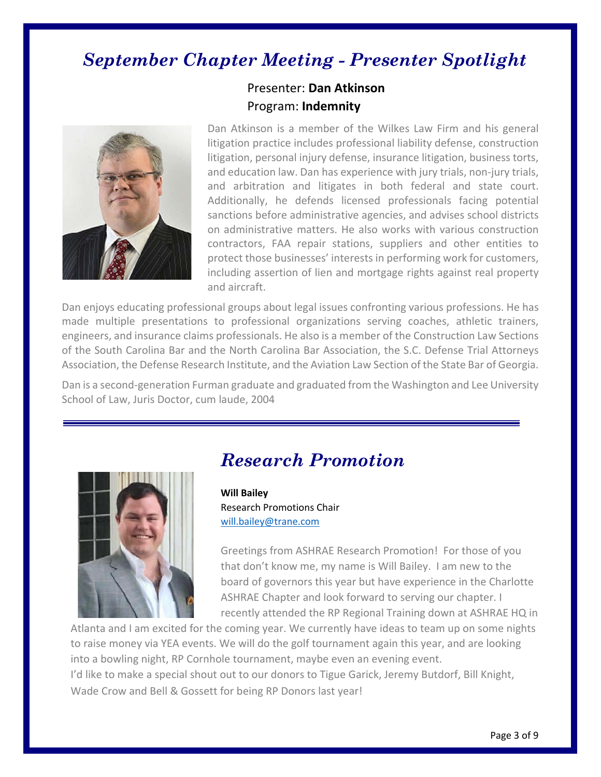## *September Chapter Meeting - Presenter Spotlight*



### Presenter: **Dan Atkinson** Program: **Indemnity**

Dan Atkinson is a member of the Wilkes Law Firm and his general litigation practice includes professional liability defense, construction litigation, personal injury defense, insurance litigation, business torts, and education law. Dan has experience with jury trials, non-jury trials, and arbitration and litigates in both federal and state court. Additionally, he defends licensed professionals facing potential sanctions before administrative agencies, and advises school districts on administrative matters. He also works with various construction contractors, FAA repair stations, suppliers and other entities to protect those businesses' interests in performing work for customers, including assertion of lien and mortgage rights against real property and aircraft.

Dan enjoys educating professional groups about legal issues confronting various professions. He has made multiple presentations to professional organizations serving coaches, athletic trainers, engineers, and insurance claims professionals. He also is a member of the Construction Law Sections of the South Carolina Bar and the North Carolina Bar Association, the S.C. Defense Trial Attorneys Association, the Defense Research Institute, and the Aviation Law Section of the State Bar of Georgia.

Dan is a second-generation Furman graduate and graduated from the Washington and Lee University School of Law, Juris Doctor, cum laude, 2004



### *Research Promotion*

**Will Bailey** Research Promotions Chair [will.bailey@trane.com](mailto:will.bailey@trane.com)

Greetings from ASHRAE Research Promotion! For those of you that don't know me, my name is Will Bailey. I am new to the board of governors this year but have experience in the Charlotte ASHRAE Chapter and look forward to serving our chapter. I recently attended the RP Regional Training down at ASHRAE HQ in

Atlanta and I am excited for the coming year. We currently have ideas to team up on some nights to raise money via YEA events. We will do the golf tournament again this year, and are looking into a bowling night, RP Cornhole tournament, maybe even an evening event. I'd like to make a special shout out to our donors to Tigue Garick, Jeremy Butdorf, Bill Knight, Wade Crow and Bell & Gossett for being RP Donors last year!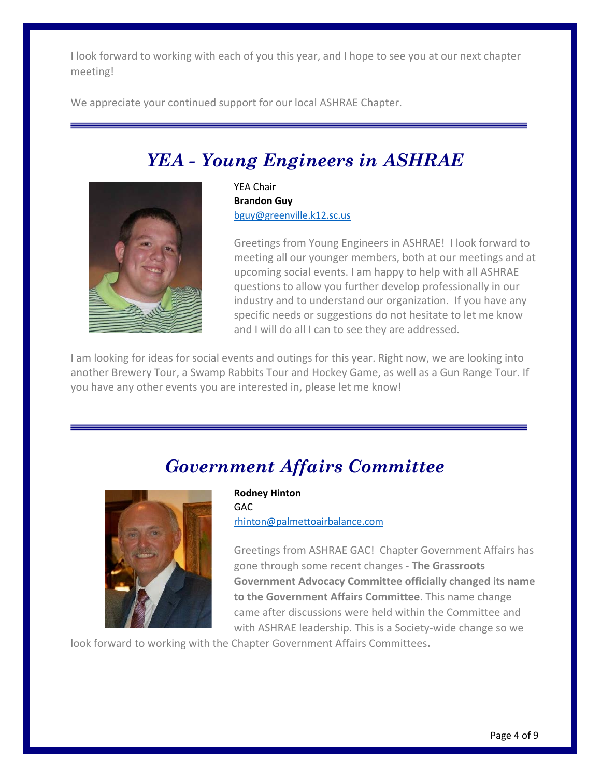I look forward to working with each of you this year, and I hope to see you at our next chapter meeting!

We appreciate your continued support for our local ASHRAE Chapter.

# *YEA - Young Engineers in ASHRAE*



YEA Chair **Brandon Guy** [bguy@greenville.k12.sc.us](mailto:bguy@greenville.k12.sc.us)

Greetings from Young Engineers in ASHRAE! I look forward to meeting all our younger members, both at our meetings and at upcoming social events. I am happy to help with all ASHRAE questions to allow you further develop professionally in our industry and to understand our organization. If you have any specific needs or suggestions do not hesitate to let me know and I will do all I can to see they are addressed.

I am looking for ideas for social events and outings for this year. Right now, we are looking into another Brewery Tour, a Swamp Rabbits Tour and Hockey Game, as well as a Gun Range Tour. If you have any other events you are interested in, please let me know!

### *Government Affairs Committee*



**Rodney Hinton GAC** [rhinton@palmettoairbalance.com](mailto:rhinton@palmettoairbalance.com)

Greetings from ASHRAE GAC! Chapter Government Affairs has gone through some recent changes - **The Grassroots Government Advocacy Committee officially changed its name to the Government Affairs Committee**. This name change came after discussions were held within the Committee and with ASHRAE leadership. This is a Society-wide change so we

look forward to working with the Chapter Government Affairs Committees**.**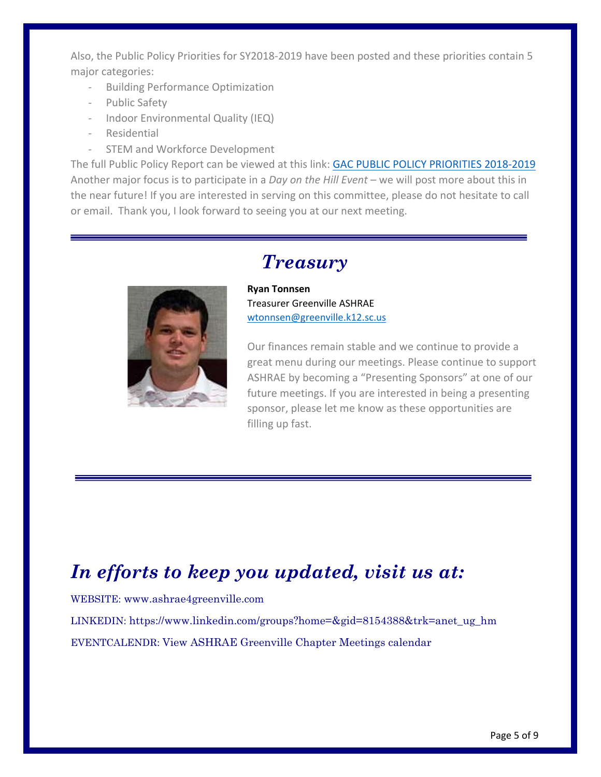Also, the Public Policy Priorities for SY2018-2019 have been posted and these priorities contain 5 major categories:

- Building Performance Optimization
- Public Safety
- Indoor Environmental Quality (IEQ)
- Residential
- STEM and Workforce Development

The full Public Policy Report can be viewed at this link: [GAC PUBLIC POLICY PRIORITIES 2018-2019](https://www.ashrae.org/File%20Library/About/Government%20Affairs/Advocacy%20Toolkit/GAC-Public-Policy-Priorities-2018-19.pdf) Another major focus is to participate in a *Day on the Hill Event* – we will post more about this in the near future! If you are interested in serving on this committee, please do not hesitate to call or email. Thank you, I look forward to seeing you at our next meeting.



### *Treasury*

**Ryan Tonnsen** Treasurer Greenville ASHRAE [wtonnsen@greenville.k12.sc.us](mailto:wtonnsen@greenville.k12.sc.us)

Our finances remain stable and we continue to provide a great menu during our meetings. Please continue to support ASHRAE by becoming a "Presenting Sponsors" at one of our future meetings. If you are interested in being a presenting sponsor, please let me know as these opportunities are filling up fast.

# *In efforts to keep you updated, visit us at:*

WEBSITE: [www.ashrae4greenville.com](http://www.ashrae4greenville.com/)

LINKEDIN: [https://www.linkedin.com/groups?home=&gid=8154388&trk=anet\\_ug\\_hm](https://www.linkedin.com/groups?home=&gid=8154388&trk=anet_ug_hm)

EVENTCALENDR: [View ASHRAE Greenville Chapter Meetings calendar](http://www.google.com/calendar/embed?src=MzlnNDY4aDhxbWQycmc5OGdjNGJ1cm9rYjBAZ3JvdXAuY2FsZW5kYXIuZ29vZ2xlLmNvbQ)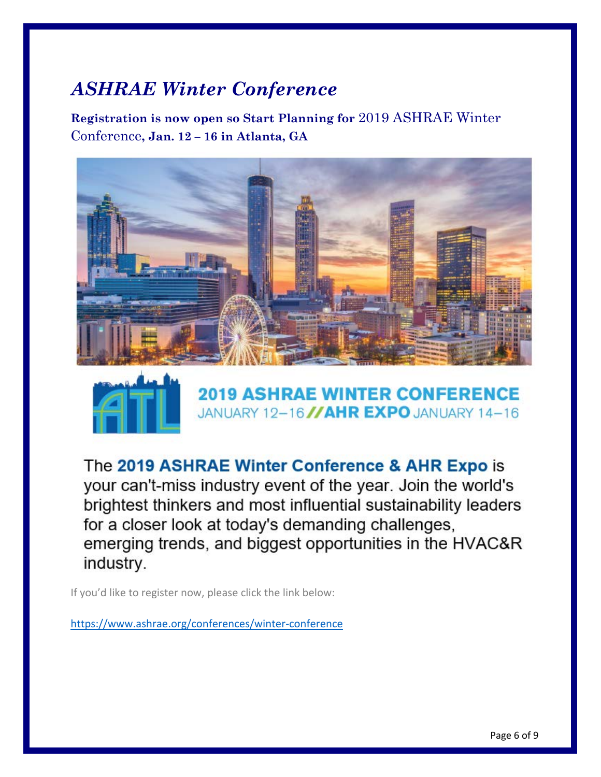# *ASHRAE Winter Conference*

**Registration is now open so Start Planning for** 2019 ASHRAE Winter Conference**, Jan. 12 – 16 in Atlanta, GA**





**2019 ASHRAE WINTER CONFERENCE** JANUARY 12-16 //AHR EXPO JANUARY 14-16

The 2019 ASHRAE Winter Conference & AHR Expo is your can't-miss industry event of the year. Join the world's brightest thinkers and most influential sustainability leaders for a closer look at today's demanding challenges, emerging trends, and biggest opportunities in the HVAC&R industry.

If you'd like to register now, please click the link below:

<https://www.ashrae.org/conferences/winter-conference>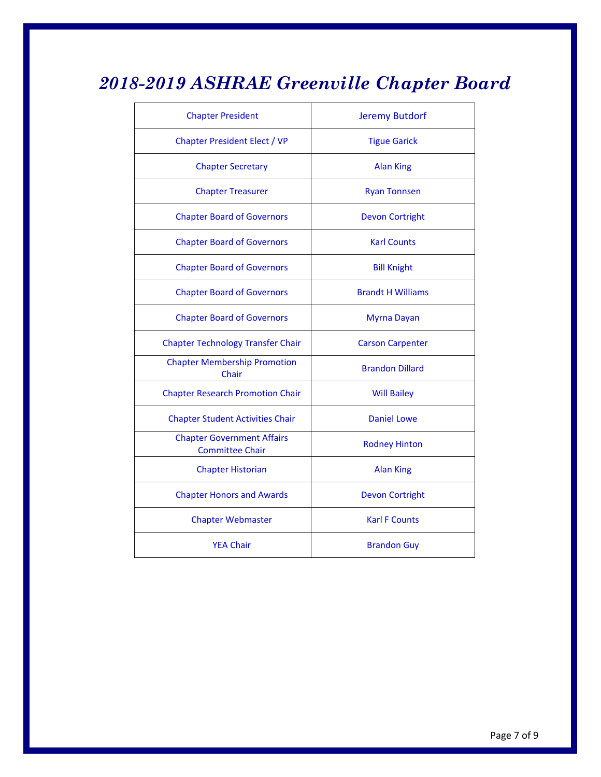# *2018-2019 ASHRAE Greenville Chapter Board*

| <b>Chapter President</b>                                    | <b>Jeremy Butdorf</b>    |
|-------------------------------------------------------------|--------------------------|
| <b>Chapter President Elect / VP</b>                         | <b>Tigue Garick</b>      |
| <b>Chapter Secretary</b>                                    | <b>Alan King</b>         |
| <b>Chapter Treasurer</b>                                    | <b>Ryan Tonnsen</b>      |
| <b>Chapter Board of Governors</b>                           | <b>Devon Cortright</b>   |
| <b>Chapter Board of Governors</b>                           | <b>Karl Counts</b>       |
| <b>Chapter Board of Governors</b>                           | <b>Bill Knight</b>       |
| <b>Chapter Board of Governors</b>                           | <b>Brandt H Williams</b> |
| <b>Chapter Board of Governors</b>                           | Myrna Dayan              |
| <b>Chapter Technology Transfer Chair</b>                    | <b>Carson Carpenter</b>  |
| <b>Chapter Membership Promotion</b><br>Chair                | <b>Brandon Dillard</b>   |
| <b>Chapter Research Promotion Chair</b>                     | <b>Will Bailey</b>       |
| <b>Chapter Student Activities Chair</b>                     | <b>Daniel Lowe</b>       |
| <b>Chapter Government Affairs</b><br><b>Committee Chair</b> | <b>Rodney Hinton</b>     |
| <b>Chapter Historian</b>                                    | <b>Alan King</b>         |
| <b>Chapter Honors and Awards</b>                            | <b>Devon Cortright</b>   |
| <b>Chapter Webmaster</b>                                    | <b>Karl F Counts</b>     |
| <b>YEA Chair</b>                                            | <b>Brandon Guy</b>       |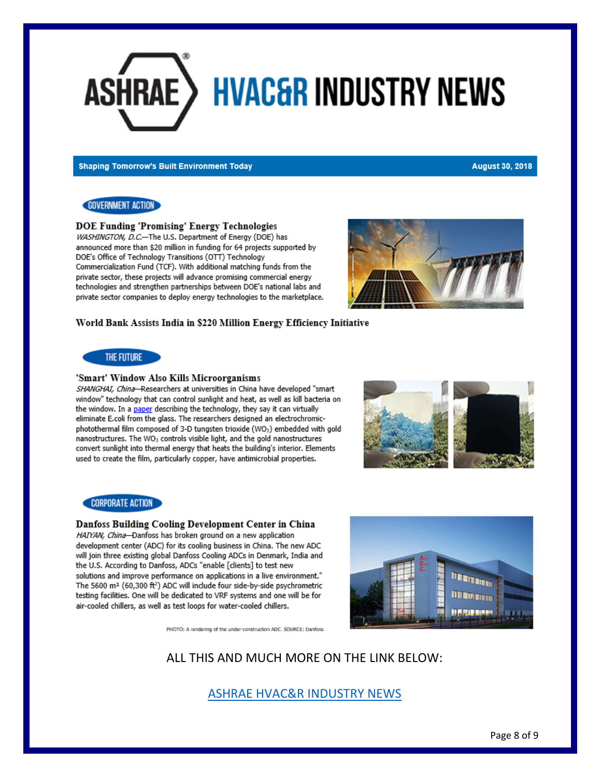# ASHRAE > **HVAC&R INDUSTRY NEWS**

**Shaping Tomorrow's Built Environment Today** 

#### **August 30, 2018**

### **GOVERNMENT ACTION**

**DOE Funding 'Promising' Energy Technologies** 

WASHINGTON, D.C.-The U.S. Department of Energy (DOE) has announced more than \$20 million in funding for 64 projects supported by DOE's Office of Technology Transitions (OTT) Technology Commercialization Fund (TCF). With additional matching funds from the private sector, these projects will advance promising commercial energy technologies and strengthen partnerships between DOE's national labs and private sector companies to deploy energy technologies to the marketplace.



#### World Bank Assists India in \$220 Million Energy Efficiency Initiative

### THE FUTURE

### 'Smart' Window Also Kills Microorganisms

SHANGHAI, China-Researchers at universities in China have developed "smart window" technology that can control sunlight and heat, as well as kill bacteria on the window. In a paper describing the technology, they say it can virtually eliminate E.coli from the glass. The researchers designed an electrochromicphotothermal film composed of 3-D tungsten trioxide (WO<sub>3</sub>) embedded with gold nanostructures. The WO<sub>3</sub> controls visible light, and the gold nanostructures convert sunlight into thermal energy that heats the building's interior. Elements used to create the film, particularly copper, have antimicrobial properties.



### **CORPORATE ACTION**

#### Danfoss Building Cooling Development Center in China

HAIYAN, China-Danfoss has broken ground on a new application development center (ADC) for its cooling business in China. The new ADC will join three existing global Danfoss Cooling ADCs in Denmark, India and the U.S. According to Danfoss, ADCs "enable [clients] to test new solutions and improve performance on applications in a live environment." The 5600 m<sup>2</sup> (60,300 ft<sup>2</sup>) ADC will include four side-by-side psychrometric testing facilities. One will be dedicated to VRF systems and one will be for air-cooled chillers, as well as test loops for water-cooled chillers.



PHOTO: A rendering of the under-construction ADC. SOURCE: Danfoss

ALL THIS AND MUCH MORE ON THE LINK BELOW:

### [ASHRAE HVAC&R INDUSTRY NEWS](https://contentsharing.net/actions/email_web_version.cfm?ep=Ka8X69rHJOE_gcOnb4sjKRuCAv09927VGSiqvsXTFTvIrKxLi5aEZPLs3o8DhGomH1MOOCQ3-_1cjUwBWLWGzsVFiHplNMVKU-4_6Iw4CsFu_SnS11MCY6tE0l_nRCWj)